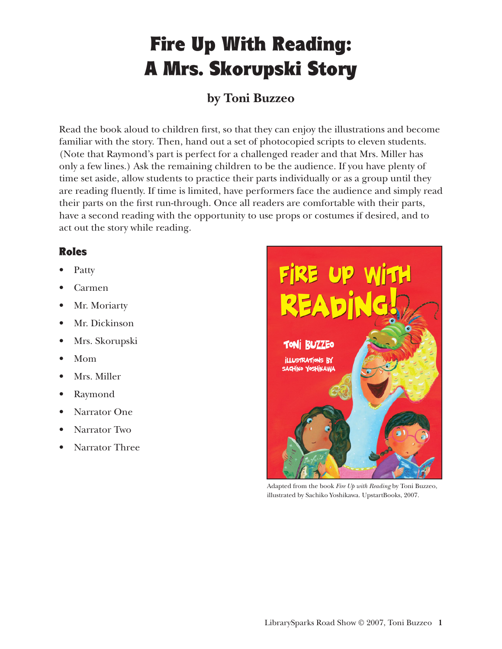# Fire Up With Reading: A Mrs. Skorupski Story

### **by Toni Buzzeo**

Read the book aloud to children first, so that they can enjoy the illustrations and become familiar with the story. Then, hand out a set of photocopied scripts to eleven students. (Note that Raymond's part is perfect for a challenged reader and that Mrs. Miller has only a few lines.) Ask the remaining children to be the audience. If you have plenty of time set aside, allow students to practice their parts individually or as a group until they are reading fluently. If time is limited, have performers face the audience and simply read their parts on the first run-through. Once all readers are comfortable with their parts, have a second reading with the opportunity to use props or costumes if desired, and to act out the story while reading.

#### Roles

- Patty
- Carmen
- Mr. Moriarty
- Mr. Dickinson
- Mrs. Skorupski
- Mom
- Mrs. Miller
- Raymond
- Narrator One
- Narrator Two
- Narrator Three



Adapted from the book *Fire Up with Reading* by Toni Buzzeo, illustrated by Sachiko Yoshikawa. UpstartBooks, 2007.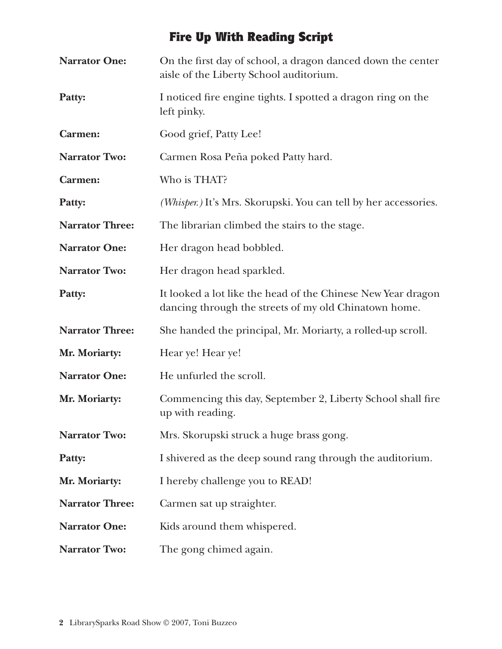# Fire Up With Reading Script

| <b>Narrator One:</b>   | On the first day of school, a dragon danced down the center<br>aisle of the Liberty School auditorium.                |
|------------------------|-----------------------------------------------------------------------------------------------------------------------|
| Patty:                 | I noticed fire engine tights. I spotted a dragon ring on the<br>left pinky.                                           |
| Carmen:                | Good grief, Patty Lee!                                                                                                |
| <b>Narrator Two:</b>   | Carmen Rosa Peña poked Patty hard.                                                                                    |
| <b>Carmen:</b>         | Who is THAT?                                                                                                          |
| Patty:                 | (Whisper.) It's Mrs. Skorupski. You can tell by her accessories.                                                      |
| <b>Narrator Three:</b> | The librarian climbed the stairs to the stage.                                                                        |
| <b>Narrator One:</b>   | Her dragon head bobbled.                                                                                              |
| <b>Narrator Two:</b>   | Her dragon head sparkled.                                                                                             |
| Patty:                 | It looked a lot like the head of the Chinese New Year dragon<br>dancing through the streets of my old Chinatown home. |
| <b>Narrator Three:</b> | She handed the principal, Mr. Moriarty, a rolled-up scroll.                                                           |
| Mr. Moriarty:          | Hear ye! Hear ye!                                                                                                     |
| <b>Narrator One:</b>   | He unfurled the scroll.                                                                                               |
| Mr. Moriarty:          | Commencing this day, September 2, Liberty School shall fire<br>up with reading.                                       |
| <b>Narrator Two:</b>   | Mrs. Skorupski struck a huge brass gong.                                                                              |
| Patty:                 | I shivered as the deep sound rang through the auditorium.                                                             |
| Mr. Moriarty:          | I hereby challenge you to READ!                                                                                       |
| <b>Narrator Three:</b> | Carmen sat up straighter.                                                                                             |
| <b>Narrator One:</b>   | Kids around them whispered.                                                                                           |
| <b>Narrator Two:</b>   | The gong chimed again.                                                                                                |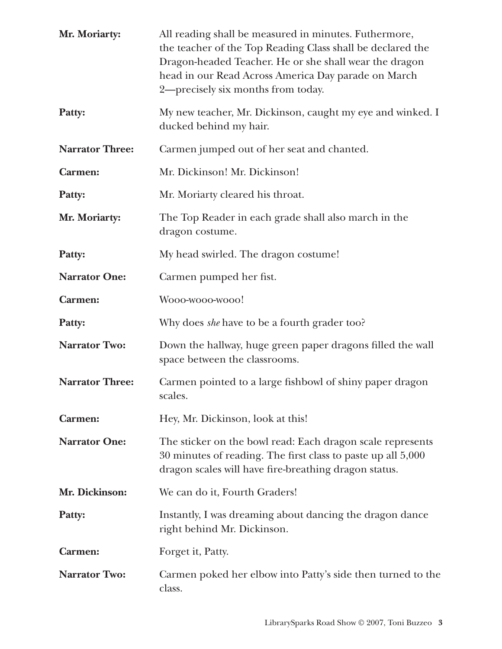| Mr. Moriarty:          | All reading shall be measured in minutes. Futhermore,<br>the teacher of the Top Reading Class shall be declared the<br>Dragon-headed Teacher. He or she shall wear the dragon<br>head in our Read Across America Day parade on March<br>2-precisely six months from today. |
|------------------------|----------------------------------------------------------------------------------------------------------------------------------------------------------------------------------------------------------------------------------------------------------------------------|
| Patty:                 | My new teacher, Mr. Dickinson, caught my eye and winked. I<br>ducked behind my hair.                                                                                                                                                                                       |
| <b>Narrator Three:</b> | Carmen jumped out of her seat and chanted.                                                                                                                                                                                                                                 |
| <b>Carmen:</b>         | Mr. Dickinson! Mr. Dickinson!                                                                                                                                                                                                                                              |
| Patty:                 | Mr. Moriarty cleared his throat.                                                                                                                                                                                                                                           |
| Mr. Moriarty:          | The Top Reader in each grade shall also march in the<br>dragon costume.                                                                                                                                                                                                    |
| Patty:                 | My head swirled. The dragon costume!                                                                                                                                                                                                                                       |
| <b>Narrator One:</b>   | Carmen pumped her fist.                                                                                                                                                                                                                                                    |
| <b>Carmen:</b>         | Wooo-wooo-wooo!                                                                                                                                                                                                                                                            |
| Patty:                 | Why does <i>she</i> have to be a fourth grader too?                                                                                                                                                                                                                        |
| <b>Narrator Two:</b>   | Down the hallway, huge green paper dragons filled the wall<br>space between the classrooms.                                                                                                                                                                                |
| <b>Narrator Three:</b> | Carmen pointed to a large fishbowl of shiny paper dragon<br>scales.                                                                                                                                                                                                        |
| <b>Carmen:</b>         | Hey, Mr. Dickinson, look at this!                                                                                                                                                                                                                                          |
| <b>Narrator One:</b>   | The sticker on the bowl read: Each dragon scale represents<br>30 minutes of reading. The first class to paste up all 5,000<br>dragon scales will have fire-breathing dragon status.                                                                                        |
| Mr. Dickinson:         | We can do it, Fourth Graders!                                                                                                                                                                                                                                              |
| Patty:                 | Instantly, I was dreaming about dancing the dragon dance<br>right behind Mr. Dickinson.                                                                                                                                                                                    |
| <b>Carmen:</b>         | Forget it, Patty.                                                                                                                                                                                                                                                          |
| <b>Narrator Two:</b>   | Carmen poked her elbow into Patty's side then turned to the<br>class.                                                                                                                                                                                                      |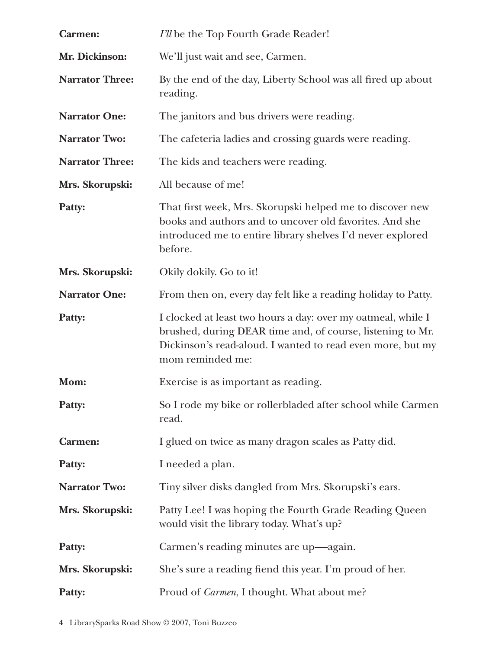| <b>Carmen:</b>         | I'll be the Top Fourth Grade Reader!                                                                                                                                                                         |
|------------------------|--------------------------------------------------------------------------------------------------------------------------------------------------------------------------------------------------------------|
| Mr. Dickinson:         | We'll just wait and see, Carmen.                                                                                                                                                                             |
| <b>Narrator Three:</b> | By the end of the day, Liberty School was all fired up about<br>reading.                                                                                                                                     |
| <b>Narrator One:</b>   | The janitors and bus drivers were reading.                                                                                                                                                                   |
| <b>Narrator Two:</b>   | The cafeteria ladies and crossing guards were reading.                                                                                                                                                       |
| <b>Narrator Three:</b> | The kids and teachers were reading.                                                                                                                                                                          |
| Mrs. Skorupski:        | All because of me!                                                                                                                                                                                           |
| Patty:                 | That first week, Mrs. Skorupski helped me to discover new<br>books and authors and to uncover old favorites. And she<br>introduced me to entire library shelves I'd never explored<br>before.                |
| Mrs. Skorupski:        | Okily dokily. Go to it!                                                                                                                                                                                      |
| <b>Narrator One:</b>   | From then on, every day felt like a reading holiday to Patty.                                                                                                                                                |
| Patty:                 | I clocked at least two hours a day: over my oatmeal, while I<br>brushed, during DEAR time and, of course, listening to Mr.<br>Dickinson's read-aloud. I wanted to read even more, but my<br>mom reminded me: |
| Mom:                   | Exercise is as important as reading.                                                                                                                                                                         |
| Patty:                 | So I rode my bike or rollerbladed after school while Carmen<br>read.                                                                                                                                         |
| Carmen:                | I glued on twice as many dragon scales as Patty did.                                                                                                                                                         |
| Patty:                 | I needed a plan.                                                                                                                                                                                             |
| <b>Narrator Two:</b>   | Tiny silver disks dangled from Mrs. Skorupski's ears.                                                                                                                                                        |
| Mrs. Skorupski:        | Patty Lee! I was hoping the Fourth Grade Reading Queen<br>would visit the library today. What's up?                                                                                                          |
| Patty:                 | Carmen's reading minutes are up—again.                                                                                                                                                                       |
| Mrs. Skorupski:        | She's sure a reading fiend this year. I'm proud of her.                                                                                                                                                      |
| Patty:                 | Proud of Carmen, I thought. What about me?                                                                                                                                                                   |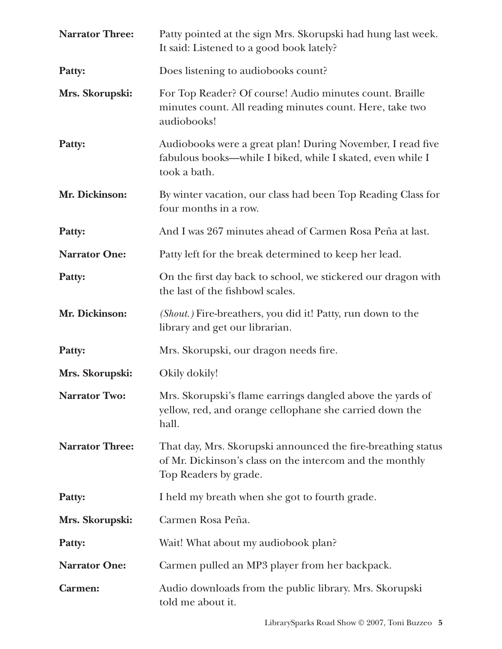| <b>Narrator Three:</b> | Patty pointed at the sign Mrs. Skorupski had hung last week.<br>It said: Listened to a good book lately?                                          |
|------------------------|---------------------------------------------------------------------------------------------------------------------------------------------------|
| Patty:                 | Does listening to audiobooks count?                                                                                                               |
| Mrs. Skorupski:        | For Top Reader? Of course! Audio minutes count. Braille<br>minutes count. All reading minutes count. Here, take two<br>audiobooks!                |
| Patty:                 | Audiobooks were a great plan! During November, I read five<br>fabulous books-while I biked, while I skated, even while I<br>took a bath.          |
| Mr. Dickinson:         | By winter vacation, our class had been Top Reading Class for<br>four months in a row.                                                             |
| Patty:                 | And I was 267 minutes ahead of Carmen Rosa Peña at last.                                                                                          |
| <b>Narrator One:</b>   | Patty left for the break determined to keep her lead.                                                                                             |
| Patty:                 | On the first day back to school, we stickered our dragon with<br>the last of the fishbowl scales.                                                 |
| Mr. Dickinson:         | ( <i>Shout.</i> ) Fire-breathers, you did it! Patty, run down to the<br>library and get our librarian.                                            |
| Patty:                 | Mrs. Skorupski, our dragon needs fire.                                                                                                            |
| Mrs. Skorupski:        | Okily dokily!                                                                                                                                     |
| <b>Narrator Two:</b>   | Mrs. Skorupski's flame earrings dangled above the yards of<br>yellow, red, and orange cellophane she carried down the<br>hall.                    |
| <b>Narrator Three:</b> | That day, Mrs. Skorupski announced the fire-breathing status<br>of Mr. Dickinson's class on the intercom and the monthly<br>Top Readers by grade. |
| Patty:                 | I held my breath when she got to fourth grade.                                                                                                    |
| Mrs. Skorupski:        | Carmen Rosa Peña.                                                                                                                                 |
| Patty:                 | Wait! What about my audiobook plan?                                                                                                               |
| <b>Narrator One:</b>   | Carmen pulled an MP3 player from her backpack.                                                                                                    |
| <b>Carmen:</b>         | Audio downloads from the public library. Mrs. Skorupski<br>told me about it.                                                                      |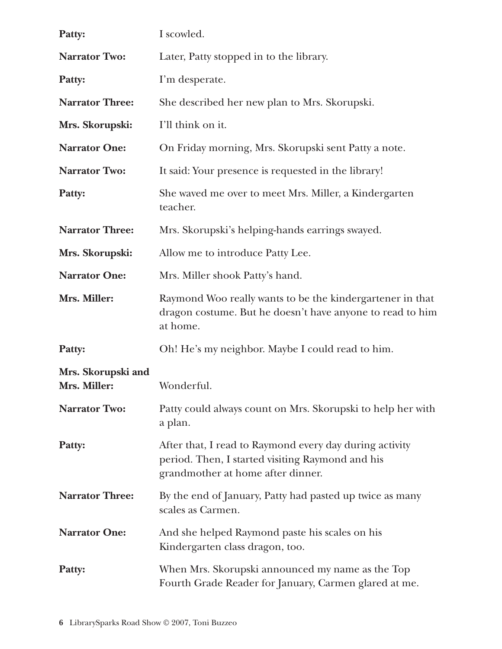| Patty:                             | I scowled.                                                                                                                                       |
|------------------------------------|--------------------------------------------------------------------------------------------------------------------------------------------------|
| <b>Narrator Two:</b>               | Later, Patty stopped in to the library.                                                                                                          |
| Patty:                             | I'm desperate.                                                                                                                                   |
| <b>Narrator Three:</b>             | She described her new plan to Mrs. Skorupski.                                                                                                    |
| Mrs. Skorupski:                    | I'll think on it.                                                                                                                                |
| <b>Narrator One:</b>               | On Friday morning, Mrs. Skorupski sent Patty a note.                                                                                             |
| <b>Narrator Two:</b>               | It said: Your presence is requested in the library!                                                                                              |
| Patty:                             | She waved me over to meet Mrs. Miller, a Kindergarten<br>teacher.                                                                                |
| <b>Narrator Three:</b>             | Mrs. Skorupski's helping-hands earrings swayed.                                                                                                  |
| Mrs. Skorupski:                    | Allow me to introduce Patty Lee.                                                                                                                 |
| <b>Narrator One:</b>               | Mrs. Miller shook Patty's hand.                                                                                                                  |
| Mrs. Miller:                       | Raymond Woo really wants to be the kindergartener in that<br>dragon costume. But he doesn't have anyone to read to him<br>at home.               |
| Patty:                             | Oh! He's my neighbor. Maybe I could read to him.                                                                                                 |
| Mrs. Skorupski and<br>Mrs. Miller: | Wonderful.                                                                                                                                       |
| <b>Narrator Two:</b>               | Patty could always count on Mrs. Skorupski to help her with<br>a plan.                                                                           |
| Patty:                             | After that, I read to Raymond every day during activity<br>period. Then, I started visiting Raymond and his<br>grandmother at home after dinner. |
| <b>Narrator Three:</b>             | By the end of January, Patty had pasted up twice as many<br>scales as Carmen.                                                                    |
| <b>Narrator One:</b>               | And she helped Raymond paste his scales on his<br>Kindergarten class dragon, too.                                                                |
| Patty:                             | When Mrs. Skorupski announced my name as the Top<br>Fourth Grade Reader for January, Carmen glared at me.                                        |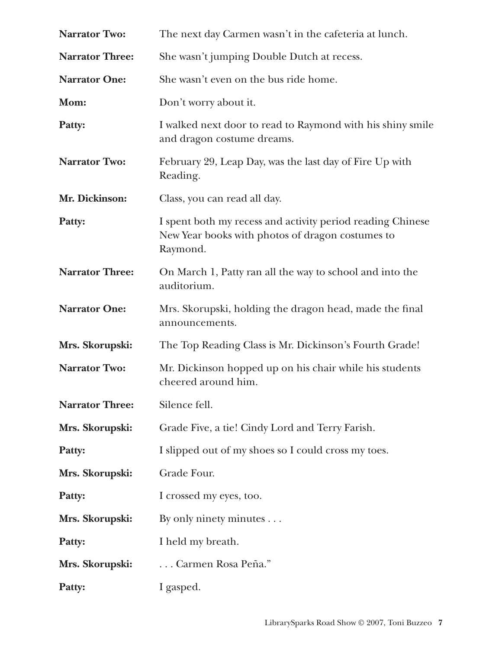| <b>Narrator Two:</b>   | The next day Carmen wasn't in the cafeteria at lunch.                                                                      |
|------------------------|----------------------------------------------------------------------------------------------------------------------------|
| <b>Narrator Three:</b> | She wasn't jumping Double Dutch at recess.                                                                                 |
| <b>Narrator One:</b>   | She wasn't even on the bus ride home.                                                                                      |
| Mom:                   | Don't worry about it.                                                                                                      |
| Patty:                 | I walked next door to read to Raymond with his shiny smile<br>and dragon costume dreams.                                   |
| <b>Narrator Two:</b>   | February 29, Leap Day, was the last day of Fire Up with<br>Reading.                                                        |
| Mr. Dickinson:         | Class, you can read all day.                                                                                               |
| Patty:                 | I spent both my recess and activity period reading Chinese<br>New Year books with photos of dragon costumes to<br>Raymond. |
| <b>Narrator Three:</b> | On March 1, Patty ran all the way to school and into the<br>auditorium.                                                    |
| <b>Narrator One:</b>   | Mrs. Skorupski, holding the dragon head, made the final<br>announcements.                                                  |
| Mrs. Skorupski:        | The Top Reading Class is Mr. Dickinson's Fourth Grade!                                                                     |
| <b>Narrator Two:</b>   | Mr. Dickinson hopped up on his chair while his students<br>cheered around him.                                             |
| <b>Narrator Three:</b> | Silence fell.                                                                                                              |
| Mrs. Skorupski:        | Grade Five, a tie! Cindy Lord and Terry Farish.                                                                            |
| Patty:                 | I slipped out of my shoes so I could cross my toes.                                                                        |
| Mrs. Skorupski:        | Grade Four.                                                                                                                |
| Patty:                 | I crossed my eyes, too.                                                                                                    |
| Mrs. Skorupski:        | By only ninety minutes                                                                                                     |
| Patty:                 | I held my breath.                                                                                                          |
| Mrs. Skorupski:        | Carmen Rosa Peña."                                                                                                         |
| Patty:                 | I gasped.                                                                                                                  |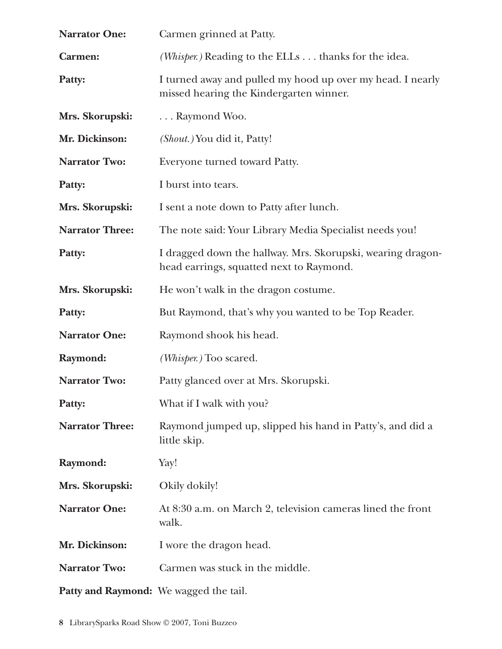| <b>Narrator One:</b>                   | Carmen grinned at Patty.                                                                                |
|----------------------------------------|---------------------------------------------------------------------------------------------------------|
| <b>Carmen:</b>                         | ( <i>Whisper.</i> ) Reading to the ELLs thanks for the idea.                                            |
| Patty:                                 | I turned away and pulled my hood up over my head. I nearly<br>missed hearing the Kindergarten winner.   |
| Mrs. Skorupski:                        | Raymond Woo.                                                                                            |
| Mr. Dickinson:                         | ( <i>Shout.</i> ) You did it, Patty!                                                                    |
| <b>Narrator Two:</b>                   | Everyone turned toward Patty.                                                                           |
| Patty:                                 | I burst into tears.                                                                                     |
| Mrs. Skorupski:                        | I sent a note down to Patty after lunch.                                                                |
| <b>Narrator Three:</b>                 | The note said: Your Library Media Specialist needs you!                                                 |
| Patty:                                 | I dragged down the hallway. Mrs. Skorupski, wearing dragon-<br>head earrings, squatted next to Raymond. |
| Mrs. Skorupski:                        | He won't walk in the dragon costume.                                                                    |
| Patty:                                 | But Raymond, that's why you wanted to be Top Reader.                                                    |
| <b>Narrator One:</b>                   | Raymond shook his head.                                                                                 |
| Raymond:                               | (Whisper.) Too scared.                                                                                  |
| <b>Narrator Two:</b>                   | Patty glanced over at Mrs. Skorupski.                                                                   |
| Patty:                                 | What if I walk with you?                                                                                |
| <b>Narrator Three:</b>                 | Raymond jumped up, slipped his hand in Patty's, and did a<br>little skip.                               |
| Raymond:                               | Yay!                                                                                                    |
| Mrs. Skorupski:                        | Okily dokily!                                                                                           |
| <b>Narrator One:</b>                   | At 8:30 a.m. on March 2, television cameras lined the front<br>walk.                                    |
| Mr. Dickinson:                         | I wore the dragon head.                                                                                 |
| <b>Narrator Two:</b>                   | Carmen was stuck in the middle.                                                                         |
| Patty and Raymond: We wagged the tail. |                                                                                                         |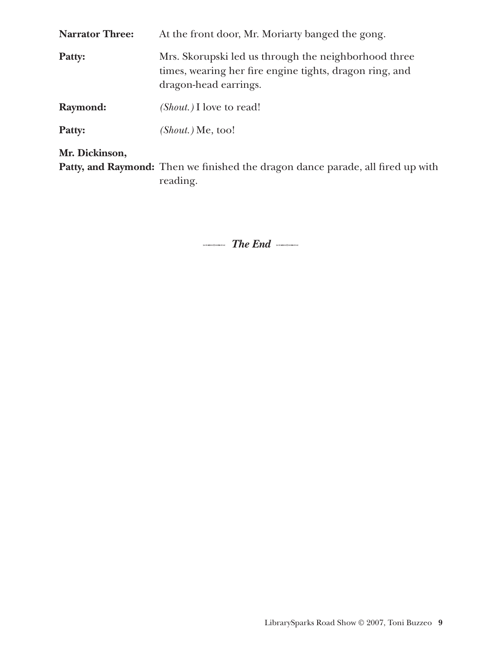| <b>Narrator Three:</b> | At the front door, Mr. Moriarty banged the gong.                                                                                         |
|------------------------|------------------------------------------------------------------------------------------------------------------------------------------|
| Patty:                 | Mrs. Skorupski led us through the neighborhood three<br>times, wearing her fire engine tights, dragon ring, and<br>dragon-head earrings. |
| Raymond:               | <i>(Shout.)</i> I love to read!                                                                                                          |
| Patty:                 | $(Show.)$ Me, too!                                                                                                                       |
| Mr. Dickinson,         |                                                                                                                                          |

**Patty, and Raymond:** Then we finished the dragon dance parade, all fired up with reading.

**The End**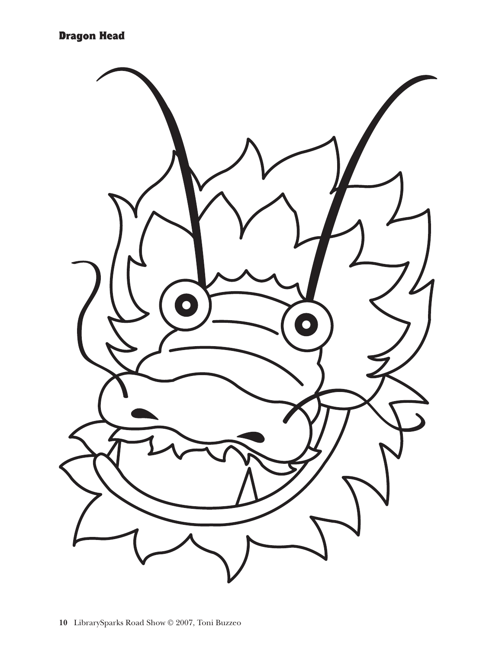